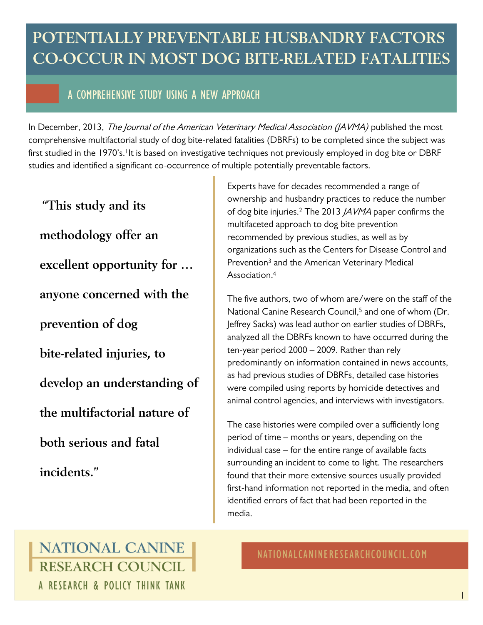# **POTENTIALLY PREVENTABLE HUSBANDRY FACTORS CO-OCCUR IN MOST DOG BITE-RELATED FATALITIES**

## A COMPREHENSIVE STUDY USING A NEW APPROACH

In December, 2013, The Journal of the American Veterinary Medical Association (JAVMA) published the most comprehensive multifactorial study of dog bite-related fatalities (DBRFs) to be completed since the subject was first studied in the 1970's.<sup>1</sup>It is based on investigative techniques not previously employed in dog bite or DBRF studies and identified a significant co-occurrence of multiple potentially preventable factors.

**"This study and its methodology offer an excellent opportunity for … anyone concerned with the prevention of dog bite-related injuries, to develop an understanding of the multifactorial nature of both serious and fatal incidents."**

Experts have for decades recommended a range of ownership and husbandry practices to reduce the number of dog bite injuries.<sup>2</sup> The 2013 *JAVMA* paper confirms the multifaceted approach to dog bite prevention recommended by previous studies, as well as by organizations such as the Centers for Disease Control and Prevention<sup>3</sup> and the American Veterinary Medical Association. 4

The five authors, two of whom are/were on the staff of the National Canine Research Council, <sup>5</sup> and one of whom (Dr. Jeffrey Sacks) was lead author on earlier studies of DBRFs, analyzed all the DBRFs known to have occurred during the ten-year period 2000 – 2009. Rather than rely predominantly on information contained in news accounts, as had previous studies of DBRFs, detailed case histories were compiled using reports by homicide detectives and animal control agencies, and interviews with investigators.

The case histories were compiled over a sufficiently long period of time – months or years, depending on the individual case – for the entire range of available facts surrounding an incident to come to light. The researchers found that their more extensive sources usually provided first-hand information not reported in the media, and often identified errors of fact that had been reported in the media.

## NATIONAL CANINE **RESEARCH COUNCIL** A RESEARCH & POLICY THINK TANK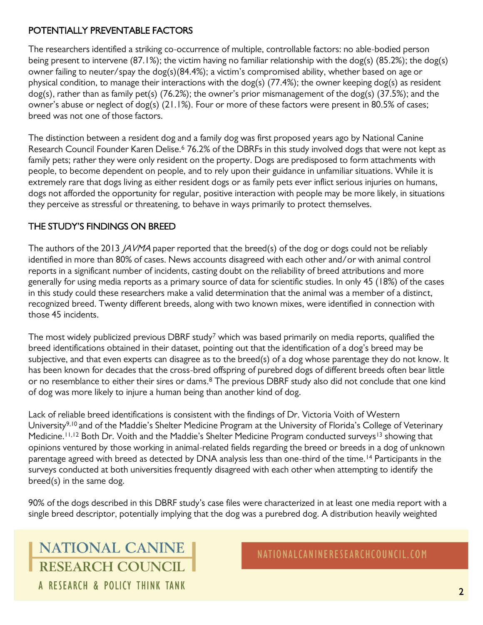#### POTENTIALLY PREVENTABLE FACTORS

The researchers identified a striking co-occurrence of multiple, controllable factors: no able-bodied person being present to intervene (87.1%); the victim having no familiar relationship with the dog(s) (85.2%); the dog(s) owner failing to neuter/spay the dog(s)(84.4%); a victim's compromised ability, whether based on age or physical condition, to manage their interactions with the dog(s) (77.4%); the owner keeping dog(s) as resident dog(s), rather than as family pet(s) (76.2%); the owner's prior mismanagement of the dog(s) (37.5%); and the owner's abuse or neglect of dog(s) (21.1%). Four or more of these factors were present in 80.5% of cases; breed was not one of those factors.

The distinction between a resident dog and a family dog was first proposed years ago by National Canine Research Council Founder Karen Delise.<sup>6</sup> 76.2% of the DBRFs in this study involved dogs that were not kept as family pets; rather they were only resident on the property. Dogs are predisposed to form attachments with people, to become dependent on people, and to rely upon their guidance in unfamiliar situations. While it is extremely rare that dogs living as either resident dogs or as family pets ever inflict serious injuries on humans, dogs not afforded the opportunity for regular, positive interaction with people may be more likely, in situations they perceive as stressful or threatening, to behave in ways primarily to protect themselves.

### THE STUDY'S FINDINGS ON BREED

The authors of the 2013 *JAVMA* paper reported that the breed(s) of the dog or dogs could not be reliably identified in more than 80% of cases. News accounts disagreed with each other and/or with animal control reports in a significant number of incidents, casting doubt on the reliability of breed attributions and more generally for using media reports as a primary source of data for scientific studies. In only 45 (18%) of the cases in this study could these researchers make a valid determination that the animal was a member of a distinct, recognized breed. Twenty different breeds, along with two known mixes, were identified in connection with those 45 incidents.

The most widely publicized previous DBRF study<sup>7</sup> which was based primarily on media reports, qualified the breed identifications obtained in their dataset, pointing out that the identification of a dog's breed may be subjective, and that even experts can disagree as to the breed(s) of a dog whose parentage they do not know. It has been known for decades that the cross-bred offspring of purebred dogs of different breeds often bear little or no resemblance to either their sires or dams.<sup>8</sup> The previous DBRF study also did not conclude that one kind of dog was more likely to injure a human being than another kind of dog.

Lack of reliable breed identifications is consistent with the findings of Dr. Victoria Voith of Western University<sup>9,10</sup> and of the Maddie's Shelter Medicine Program at the University of Florida's College of Veterinary Medicine.<sup>11,12</sup> Both Dr. Voith and the Maddie's Shelter Medicine Program conducted surveys<sup>13</sup> showing that opinions ventured by those working in animal-related fields regarding the breed or breeds in a dog of unknown parentage agreed with breed as detected by DNA analysis less than one-third of the time.<sup>14</sup> Participants in the surveys conducted at both universities frequently disagreed with each other when attempting to identify the breed(s) in the same dog.

90% of the dogs described in this DBRF study's case files were characterized in at least one media report with a single breed descriptor, potentially implying that the dog was a purebred dog. A distribution heavily weighted

NATIONAL CANINE **RESEARCH COUNCIL** A RESEARCH & POLICY THINK TANK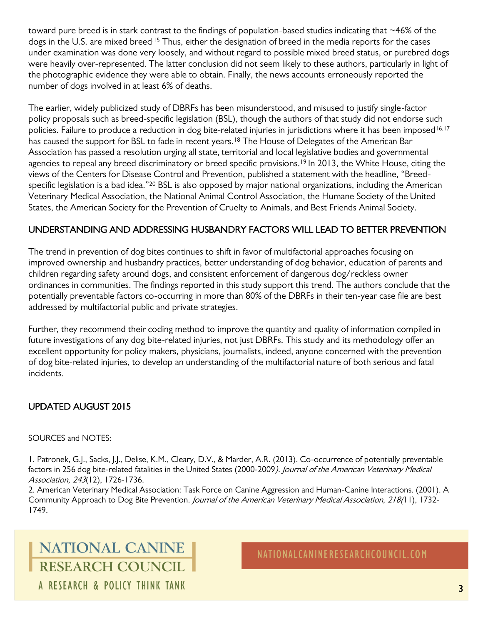toward pure breed is in stark contrast to the findings of population-based studies indicating that ~46% of the dogs in the U.S. are mixed breed.<sup>15</sup> Thus, either the designation of breed in the media reports for the cases under examination was done very loosely, and without regard to possible mixed breed status, or purebred dogs were heavily over-represented. The latter conclusion did not seem likely to these authors, particularly in light of the photographic evidence they were able to obtain. Finally, the news accounts erroneously reported the number of dogs involved in at least 6% of deaths.

The earlier, widely publicized study of DBRFs has been misunderstood, and misused to justify single-factor policy proposals such as breed-specific legislation (BSL), though the authors of that study did not endorse such policies. Failure to produce a reduction in dog bite-related injuries in jurisdictions where it has been imposed<sup>16,17</sup> has caused the support for BSL to fade in recent years.<sup>18</sup> The House of Delegates of the American Bar Association has passed a resolution urging all state, territorial and local legislative bodies and governmental agencies to repeal any breed discriminatory or breed specific provisions.<sup>19</sup> In 2013, the White House, citing the views of the Centers for Disease Control and Prevention, published a statement with the headline, "Breedspecific legislation is a bad idea."<sup>20</sup> BSL is also opposed by major national organizations, including the American Veterinary Medical Association, the National Animal Control Association, the Humane Society of the United States, the American Society for the Prevention of Cruelty to Animals, and Best Friends Animal Society.

#### UNDERSTANDING AND ADDRESSING HUSBANDRY FACTORS WILL LEAD TO BETTER PREVENTION

The trend in prevention of dog bites continues to shift in favor of multifactorial approaches focusing on improved ownership and husbandry practices, better understanding of dog behavior, education of parents and children regarding safety around dogs, and consistent enforcement of dangerous dog/reckless owner ordinances in communities. The findings reported in this study support this trend. The authors conclude that the potentially preventable factors co-occurring in more than 80% of the DBRFs in their ten-year case file are best addressed by multifactorial public and private strategies.

Further, they recommend their coding method to improve the quantity and quality of information compiled in future investigations of any dog bite-related injuries, not just DBRFs. This study and its methodology offer an excellent opportunity for policy makers, physicians, journalists, indeed, anyone concerned with the prevention of dog bite-related injuries, to develop an understanding of the multifactorial nature of both serious and fatal incidents.

#### UPDATED AUGUST 2015

#### SOURCES and NOTES:

1. Patronek, G.J., Sacks, J.J., Delise, K.M., Cleary, D.V., & Marder, A.R. (2013). Co-occurrence of potentially preventable factors in 256 dog bite-related fatalities in the United States (2000-2009). Journal of the American Veterinary Medical Association, <sup>243</sup>(12), 1726-1736.

2. American Veterinary Medical Association: Task Force on Canine Aggression and Human-Canine Interactions. (2001). A Community Approach to Dog Bite Prevention. Journal of the American Veterinary Medical Association, 218(11), 1732-1749.

## NATIONAL CANINE **RESEARCH COUNCIL** A RESEARCH & POLICY THINK TANK